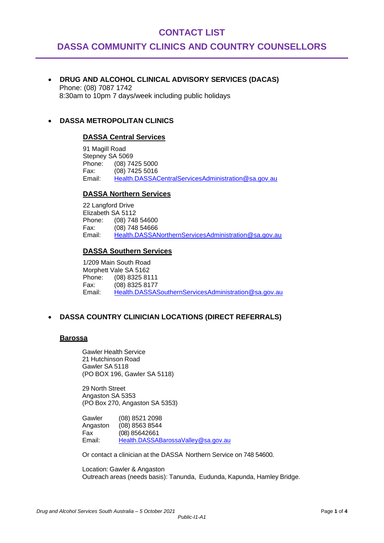## **CONTACT LIST**

# **DASSA COMMUNITY CLINICS AND COUNTRY COUNSELLORS**

• **DRUG AND ALCOHOL CLINICAL ADVISORY SERVICES (DACAS)**  Phone: (08) 7087 1742 8:30am to 10pm 7 days/week including public holidays

#### • **DASSA METROPOLITAN CLINICS**

#### **DASSA Central Services**

91 Magill Road Stepney SA 5069 Phone: (08) 7425 5000 Fax: (08) 7425 5016 Email: [Health.DASSACentralServicesAdministration@sa.gov.au](file:///I:/DASSA%20DIRECTORY%2008%2010%202012/clinical%20instructions/referral/Health.DASSACentralServicesAdministration@sa.gov.au)

#### **DASSA Northern Services**

22 Langford Drive Elizabeth SA 5112<br>Phone: (08) 748 (08) 748 54600 Fax: (08) 748 54666 Email: [Health.DASSANorthernServicesAdministration@sa.gov.au](file:///I:/DASSA%20DIRECTORY%2008%2010%202012/clinical%20instructions/referral/Health.DASSANorthernServicesAdministration@sa.gov.au)

#### **DASSA Southern Services**

1/209 Main South Road Morphett Vale SA 5162 Phone: (08) 8325 8111 Fax: (08) 8325 8177<br>Fmail: Health DASSAS [Health.DASSASouthernServicesAdministration@sa.gov.au](file:///I:/DASSA%20DIRECTORY%2008%2010%202012/clinical%20instructions/referral/Health.DASSASouthernServicesAdministration@sa.gov.au)

## • **DASSA COUNTRY CLINICIAN LOCATIONS (DIRECT REFERRALS)**

#### **Barossa**

Gawler Health Service 21 Hutchinson Road Gawler SA 5118 (PO BOX 196, Gawler SA 5118)

29 North Street Angaston SA 5353 (PO Box 270, Angaston SA 5353)

Gawler (08) 8521 2098 Angaston (08) 8563 8544 Fax (08) 85642661 Email: [Health.DASSABarossaValley@sa.gov.au](mailto:Health.DASSABarossaValley@sa.gov.au)

Or contact a clinician at the DASSA Northern Service on 748 54600.

Location: Gawler & Angaston Outreach areas (needs basis): Tanunda, Eudunda, Kapunda, Hamley Bridge.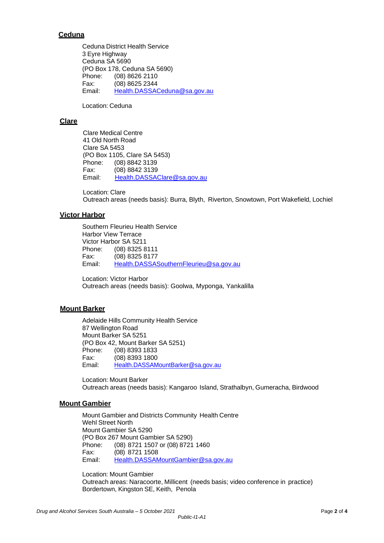## **Ceduna**

Ceduna District Health Service 3 Eyre Highway Ceduna SA 5690 (PO Box 178, Ceduna SA 5690) Phone: (08) 8626 2110 Fax: (08) 8625 2344 Email: [Health.DASSACeduna@sa.gov.au](mailto:Health.DASSACeduna@sa.gov.au)

Location: Ceduna

## **Clare**

Clare Medical Centre 41 Old North Road Clare SA 5453 (PO Box 1105, Clare SA 5453) Phone: (08) 8842 3139 Fax: (08) 8842 3139 Email: [Health.DASSAClare@sa.gov.au](mailto:Health.DASSAClare@sa.gov.au)

Location: Clare Outreach areas (needs basis): Burra, Blyth, Riverton, Snowtown, Port Wakefield, Lochiel

## **Victor Harbor**

Southern Fleurieu Health Service Harbor View Terrace Victor Harbor SA 5211 Phone: (08) 8325 8111 Fax: (08) 8325 8177<br>Email: Health.DASSA [Health.DASSASouthernFleurieu@sa.gov.au](mailto:Health.DASSASouthernFleurieu@sa.gov.au)

Location: Victor Harbor Outreach areas (needs basis): Goolwa, Myponga, Yankalilla

## **Mount Barker**

Adelaide Hills Community Health Service 87 Wellington Road Mount Barker SA 5251 (PO Box 42, Mount Barker SA 5251) Phone: (08) 8393 1833<br>Fax: (08) 8393 1800  $(08)$  8393 1800 Email: [Health.DASSAMountBarker@sa.gov.au](mailto:Health.DASSAMountBarker@sa.gov.au)

Location: Mount Barker Outreach areas (needs basis): Kangaroo Island, Strathalbyn, Gumeracha, Birdwood

#### **Mount Gambier**

Mount Gambier and Districts Community Health Centre Wehl Street North Mount Gambier SA 5290 (PO Box 267 Mount Gambier SA 5290) Phone: (08) 8721 1507 or (08) 8721 1460 Fax: (08) 8721 1508 Email: [Health.DASSAMountGambier@sa.gov.au](mailto:Health.DASSAMountGambier@sa.gov.au)

Location: Mount Gambier Outreach areas: Naracoorte, Millicent (needs basis; video conference in practice) Bordertown, Kingston SE, Keith, Penola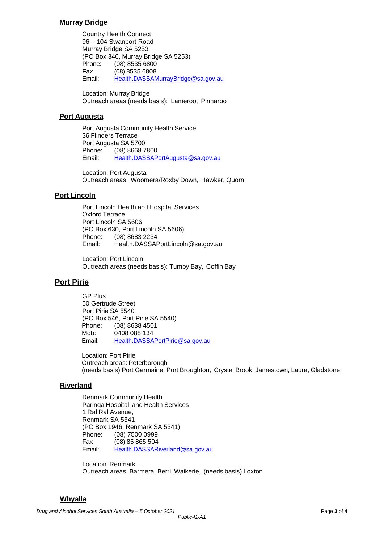#### **Murray Bridge**

Country Health Connect 96 – 104 Swanport Road Murray Bridge SA 5253 (PO Box 346, Murray Bridge SA 5253) Phone: (08) 8535 6800 Fax (08) 8535 6808 Email: [Health.DASSAMurrayBridge@sa.gov.au](mailto:Health.DASSAMurrayBridge@sa.gov.au)

Location: Murray Bridge Outreach areas (needs basis): Lameroo, Pinnaroo

#### **Port Augusta**

Port Augusta Community Health Service 36 Flinders Terrace Port Augusta SA 5700 Phone: (08) 8668 7800 Email: [Health.DASSAPortAugusta@sa.gov.au](mailto:Health.DASSAPortAugusta@sa.gov.au)

Location: Port Augusta Outreach areas: Woomera/Roxby Down, Hawker, Quorn

## **Port Lincoln**

Port Lincoln Health and Hospital Services Oxford Terrace Port Lincoln SA 5606 (PO Box 630, Port Lincoln SA 5606) Phone: (08) 8683 2234 Email: [Health.DASSAPortLincoln@sa.gov.au](mailto:Health.DASSAPortLincoln@sa.gov.au)

Location: Port Lincoln Outreach areas (needs basis): Tumby Bay, Coffin Bay

## **Port Pirie**

GP Plus 50 Gertrude Street Port Pirie SA 5540 (PO Box 546, Port Pirie SA 5540) Phone: (08) 8638 4501 Mob: 0408 088 134 Email: [Health.DASSAPortPirie@sa.gov.au](mailto:Health.DASSAPortPirie@sa.gov.au)

Location: Port Pirie Outreach areas: Peterborough (needs basis) Port Germaine, Port Broughton, Crystal Brook, Jamestown, Laura, Gladstone

#### **Riverland**

Renmark Community Health Paringa Hospital and Health Services 1 Ral Ral Avenue, Renmark SA 5341 (PO Box 1946, Renmark SA 5341) Phone: (08) 7500 0999 Fax (08) 85 865 504 Email: [Health.DASSARiverland@sa.gov.au](mailto:Health.DASSARiverland@sa.gov.au)

Location: Renmark Outreach areas: Barmera, Berri, Waikerie, (needs basis) Loxton

#### **Whyalla**